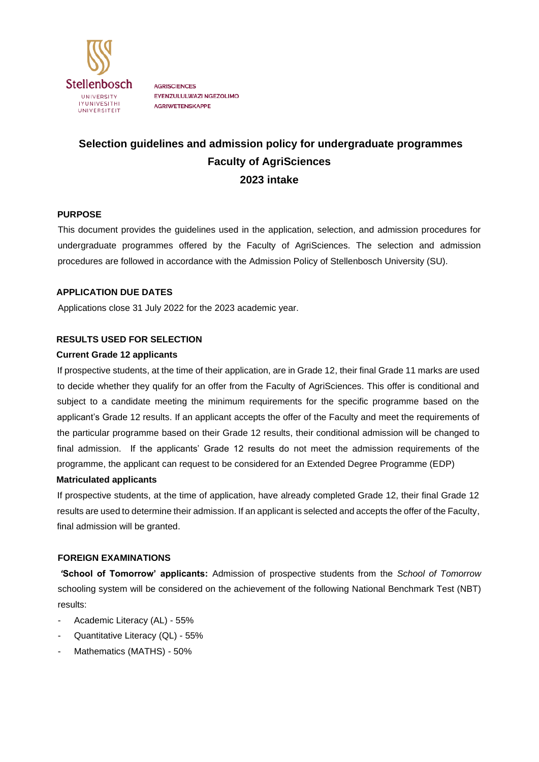

**AGRISCIENCES** EYENZULULWAZI NGEZOLIMO **AGRIWETENSKAPPE** 

# **Selection guidelines and admission policy for undergraduate programmes Faculty of AgriSciences 2023 intake**

## **PURPOSE**

This document provides the guidelines used in the application, selection, and admission procedures for undergraduate programmes offered by the Faculty of AgriSciences. The selection and admission procedures are followed in accordance with the Admission Policy of Stellenbosch University (SU).

## **APPLICATION DUE DATES**

Applications close 31 July 2022 for the 2023 academic year.

## **RESULTS USED FOR SELECTION**

#### **Current Grade 12 applicants**

If prospective students, at the time of their application, are in Grade 12, their final Grade 11 marks are used to decide whether they qualify for an offer from the Faculty of AgriSciences. This offer is conditional and subject to a candidate meeting the minimum requirements for the specific programme based on the applicant's Grade 12 results. If an applicant accepts the offer of the Faculty and meet the requirements of the particular programme based on their Grade 12 results, their conditional admission will be changed to final admission. If the applicants' Grade 12 results do not meet the admission requirements of the programme, the applicant can request to be considered for an Extended Degree Programme (EDP)

#### **Matriculated applicants**

If prospective students, at the time of application, have already completed Grade 12, their final Grade 12 results are used to determine their admission. If an applicant is selected and accepts the offer of the Faculty, final admission will be granted.

#### **FOREIGN EXAMINATIONS**

*'***School of Tomorrow' applicants:** Admission of prospective students from the *School of Tomorrow* schooling system will be considered on the achievement of the following National Benchmark Test (NBT) results:

- Academic Literacy (AL) 55%
- Quantitative Literacy (QL) 55%
- Mathematics (MATHS) 50%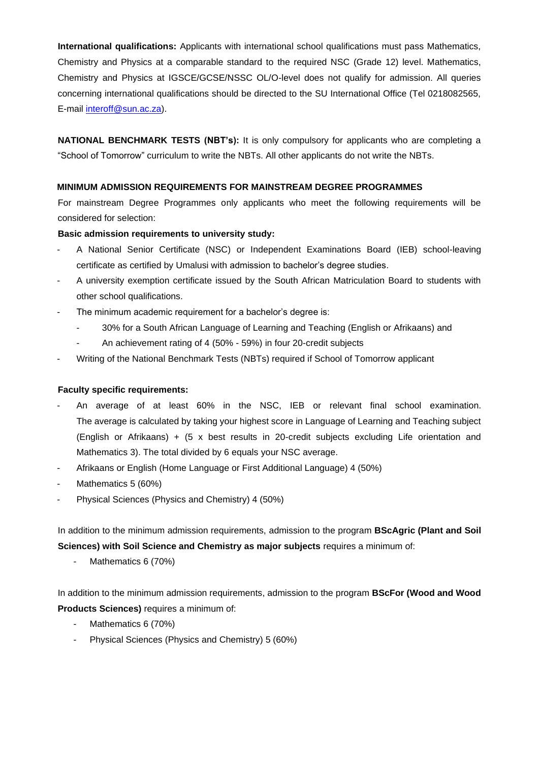**International qualifications:** Applicants with international school qualifications must pass Mathematics, Chemistry and Physics at a comparable standard to the required NSC (Grade 12) level. Mathematics, Chemistry and Physics at IGSCE/GCSE/NSSC OL/O-level does not qualify for admission. All queries concerning international qualifications should be directed to the SU International Office (Tel 0218082565, E-mail interoff@sun.ac.za).

**NATIONAL BENCHMARK TESTS (NBT's):** It is only compulsory for applicants who are completing a "School of Tomorrow" curriculum to write the NBTs. All other applicants do not write the NBTs.

## **MINIMUM ADMISSION REQUIREMENTS FOR MAINSTREAM DEGREE PROGRAMMES**

For mainstream Degree Programmes only applicants who meet the following requirements will be considered for selection:

## **Basic admission requirements to university study:**

- A National Senior Certificate (NSC) or Independent Examinations Board (IEB) school-leaving certificate as certified by Umalusi with admission to bachelor's degree studies.
- A university exemption certificate issued by the South African Matriculation Board to students with other school qualifications.
- The minimum academic requirement for a bachelor's degree is:
	- 30% for a South African Language of Learning and Teaching (English or Afrikaans) and
	- An achievement rating of 4 (50% 59%) in four 20-credit subjects
- Writing of the National Benchmark Tests (NBTs) required if School of Tomorrow applicant

#### **Faculty specific requirements:**

- An average of at least 60% in the NSC, IEB or relevant final school examination. The average is calculated by taking your highest score in Language of Learning and Teaching subject (English or Afrikaans) + (5 x best results in 20-credit subjects excluding Life orientation and Mathematics 3). The total divided by 6 equals your NSC average.
- Afrikaans or English (Home Language or First Additional Language) 4 (50%)
- Mathematics 5 (60%)
- Physical Sciences (Physics and Chemistry) 4 (50%)

In addition to the minimum admission requirements, admission to the program **BScAgric (Plant and Soil Sciences) with Soil Science and Chemistry as major subjects** requires a minimum of:

Mathematics 6 (70%)

In addition to the minimum admission requirements, admission to the program **BScFor (Wood and Wood Products Sciences)** requires a minimum of:

- Mathematics 6 (70%)
- Physical Sciences (Physics and Chemistry) 5 (60%)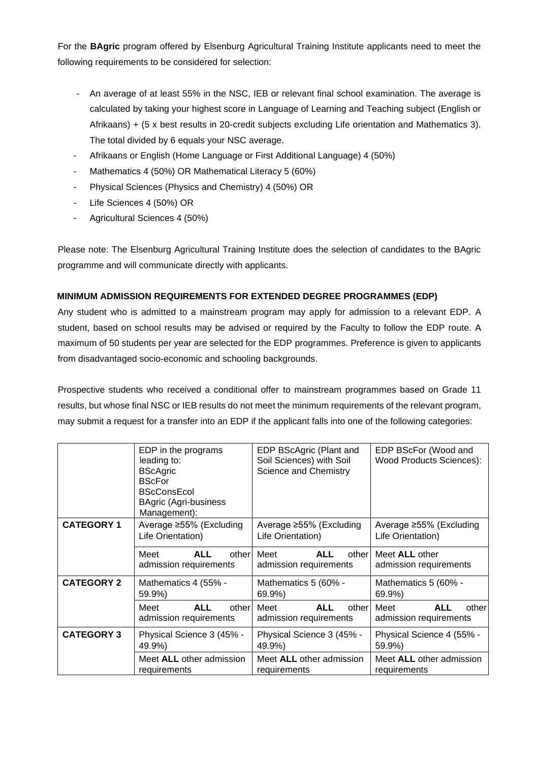For the **BAgric** program offered by Elsenburg Agricultural Training Institute applicants need to meet the following requirements to be considered for selection:

- An average of at least 55% in the NSC, IEB or relevant final school examination. The average is calculated by taking your highest score in Language of Learning and Teaching subject (English or Afrikaans) + (5 x best results in 20-credit subjects excluding Life orientation and Mathematics 3). The total divided by 6 equals your NSC average.
- Afrikaans or English (Home Language or First Additional Language) 4 (50%)
- Mathematics 4 (50%) OR Mathematical Literacy 5 (60%)
- Physical Sciences (Physics and Chemistry) 4 (50%) OR
- Life Sciences 4 (50%) OR
- Agricultural Sciences 4 (50%)

Please note: The Elsenburg Agricultural Training Institute does the selection of candidates to the BAgric programme and will communicate directly with applicants.

# **MINIMUM ADMISSION REQUIREMENTS FOR EXTENDED DEGREE PROGRAMMES (EDP)**

Any student who is admitted to a mainstream program may apply for admission to a relevant EDP. A student, based on school results may be advised or required by the Faculty to follow the EDP route. A maximum of 50 students per year are selected for the EDP programmes. Preference is given to applicants from disadvantaged socio-economic and schooling backgrounds.

Prospective students who received a conditional offer to mainstream programmes based on Grade 11 results, but whose final NSC or IEB results do not meet the minimum requirements of the relevant program, may submit a request for a transfer into an EDP if the applicant falls into one of the following categories:

|                   | EDP in the programs<br>leading to:<br><b>BScAgric</b><br><b>BScFor</b><br><b>BScConsEcol</b><br><b>BAgric (Agri-business</b><br>Management): | EDP BScAgric (Plant and<br>Soil Sciences) with Soil<br>Science and Chemistry | EDP BScFor (Wood and<br><b>Wood Products Sciences):</b> |
|-------------------|----------------------------------------------------------------------------------------------------------------------------------------------|------------------------------------------------------------------------------|---------------------------------------------------------|
| <b>CATEGORY 1</b> | Average ≥55% (Excluding<br>Life Orientation)                                                                                                 | Average ≥55% (Excluding<br>Life Orientation)                                 | Average ≥55% (Excluding<br>Life Orientation)            |
|                   | <b>ALL</b><br>Meet<br>other<br>admission requirements                                                                                        | Meet<br><b>ALL</b><br>other<br>admission requirements                        | Meet <b>ALL</b> other<br>admission requirements         |
| <b>CATEGORY 2</b> | Mathematics 4 (55% -<br>59.9%)                                                                                                               | Mathematics 5 (60% -<br>69.9%)                                               | Mathematics 5 (60% -<br>69.9%)                          |
|                   | Meet<br><b>ALL</b><br>other<br>admission requirements                                                                                        | Meet<br><b>ALL</b><br>other<br>admission requirements                        | Meet<br><b>ALL</b><br>other<br>admission requirements   |
| <b>CATEGORY 3</b> | Physical Science 3 (45% -<br>49.9%)                                                                                                          | Physical Science 3 (45% -<br>49.9%)                                          | Physical Science 4 (55% -<br>59.9%)                     |
|                   | Meet ALL other admission<br>requirements                                                                                                     | Meet ALL other admission<br>requirements                                     | Meet ALL other admission<br>requirements                |